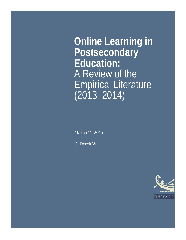**Online Learning in Postsecondary Education:** A Review of the Empirical Literature (2013–2014)

*March 11, 2015*

*D. Derek Wu*

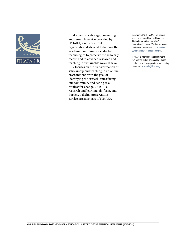

Ithaka S+R is a strategic consulting and research service provided by ITHAKA, a not-for-profit organization dedicated to helping the academic community use digital technologies to preserve the scholarly record and to advance research and teaching in sustainable ways. Ithaka S+R focuses on the transformation of scholarship and teaching in an online environment, with the goal of identifying the critical issues facing our community and acting as a catalyst for change. JSTOR, a research and learning platform, and Portico, a digital preservation service, are also part of ITHAKA.

Copyright 2015 ITHAKA. This work is licensed under a Creative Commons Attribution-NonCommercial 4.0 International License. To view a copy of the license, please see http://creativecommons.org/licenses/by-nc/4.0/.

ITHAKA is interested in disseminating this brief as widely as possible. Please contact us with any questions about using the report: research@ithaka.org.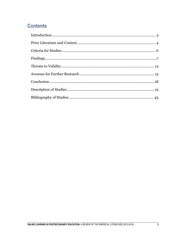# **Contents**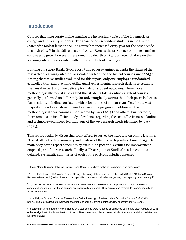### <span id="page-3-0"></span>**Introduction**

Courses that incorporate online learning are increasingly a fact of life for American college and university students.<sup>1</sup> The share of postsecondary students in the United States who took at least one online course has increased every year for the past decade to a high of  $34\%$  in the fall semester of 2012.<sup>2</sup> Even as the prevalence of online learning continues to grow, however, there remains a dearth of rigorous research done on the learning outcomes associated with online and hybrid learning.<sup>3</sup>

Building on a 2013 Ithaka S+R report,<sup>4</sup> this paper examines in depth the status of the research on learning outcomes associated with online and hybrid courses since 2013.<sup>5</sup> Among the twelve studies evaluated for this report, only one employs a randomized controlled trial, and two more utilize quasi-experimental research designs to estimate the causal impact of online delivery formats on student outcomes. These more methodologically robust studies find that students taking online or hybrid courses generally performed no differently (or only marginally worse) than their peers in face-toface sections, a finding consistent with prior studies of similar rigor. Yet, for the vast majority of studies analyzed, there has been little progress in addressing the methodological shortcomings underscored by Lack (2013) and others. Furthermore, there remains an insufficient body of evidence regarding the cost-effectiveness of online and technology-enhanced learning, one of the key research needs identified by Lack  $(2013).$ 

This report begins by discussing prior efforts to survey the literature on online learning. Next, it offers the first summary and analysis of the research produced since 2013. The main body of the report concludes by examining potential avenues for improvement, emphasis, and future research. Finally, a "Description of Studies" section contains detailed, systematic summaries of each of the post-2013 studies assessed.

<sup>5</sup> In particular, this literature review includes only studies that were released or published during and after January 2013 in order to align it with the latest iteration of Lack's literature review, which covered studies that were published no later than December 2012.

<sup>1</sup> I thank Martin Kurzweil, Johanna Brownell, and Christine Mulhern for helpful comments and discussions.

<sup>&</sup>lt;sup>2</sup> Allen, Elaine I. and Jeff Seaman. "Grade Change: Tracking Online Education in the United States." Babson Survey Research Group and Quahog Research Group (2014)[. http://www.onlinelearningsurvey.com/reports/gradechange.pdf.](http://www.onlinelearningsurvey.com/reports/gradechange.pdf)

<sup>3</sup> "Hybrid" courses refer to those that contain both an online and a face-to-face component, although there exists substantial variation in how these courses are specifically structured. They can also be referred to interchangeably as "blended" courses.

<sup>4</sup> Lack, Kelly A. "Current Status of Research on Online Learning in Postsecondary Education." Ithaka S+R (2013). [http://sr.ithaka.org/sites/default/files/reports/ithaka-sr-online-learning-postsecondary-education-may2012.pdf.](http://sr.ithaka.org/sites/default/files/reports/ithaka-sr-online-learning-postsecondary-education-may2012.pdf)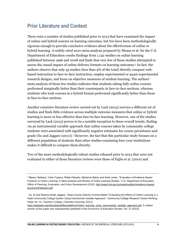## <span id="page-4-0"></span>**Prior Literature and Context**

There exist a number of studies published prior to 2013 that have examined the impact of online and hybrid courses on learning outcomes, but few have been methodologically rigorous enough to provide conclusive evidence about the effectiveness of online or hybrid learning. A widely-cited 2010 meta-analysis prepared by Means et al. for the U.S. Department of Education combs findings from 1,132 studies on online learning published between 1996 and 2008 and finds that very few of these studies attempted to assess the causal impact of online delivery formats on learning outcomes.<sup>6</sup> In fact, the authors observe that only 45 studies (less than 4% of the total) directly compare webbased instruction to face-to-face instruction, employ experimental or quasi-experimental research designs, and focus on objective measures of student learning. The authors' meta-analysis of those few studies indicates that students taking fully online courses performed marginally better than their counterparts in face-to-face sections, whereas students who took courses in a hybrid format performed significantly better than those in face-to-face sections.

Another extensive literature review carried out by Lack (2013) surveys a different set of studies and finds little evidence across multiple outcome measures that online or hybrid learning is more or less effective than face-to-face learning. However, one of the studies surveyed by Lack (2013) proves to be a notable exception to these overall trends, finding via an instrumental variable approach that online courses taken by community college students were associated with significantly negative estimates for course persistence and grade (Xu and Jaggars (2011)).<sup>7</sup> However, the fact that this particular study focuses on a different population of students than other studies examining four-year institutions makes it difficult to compare them directly.

Two of the more methodologically robust studies released prior to 2013 that were not evaluated in either of these literature reviews were those of Figlio et al. (2010) and

<sup>6</sup> Means, Barbara, Yukie Toyama, Robert Murphy, Marianne Bakia, and Karla Jones. "Evaluation of Evidence-Based Practices in Online Learning: A Meta-Analysis and Review of Online Learning Studies." U.S. Department of Education, Office of Planning, Evaluation, and Policy Development (2010)[. http://www2.ed.gov/rschstat/eval/tech/evidence-based](http://www2.ed.gov/rschstat/eval/tech/evidence-based-practices/finalreport.pdf)[practices/finalreport.pdf.](http://www2.ed.gov/rschstat/eval/tech/evidence-based-practices/finalreport.pdf)

<sup>7</sup> Xu, Di and Shanna Smith Jaggars. "Does Course Delivery Format Matter? Evaluating the Effects of Online Learning in a State Community College System Using Instrumental Variable Approach." Community College Research Center Working Paper No. 31, Teachers College, Columbia University (2011).

[https://aefpweb.org/sites/default/files/webform/Online\\_learning\\_using\\_instrumental\\_variable\\_approach.pdf.](https://aefpweb.org/sites/default/files/webform/Online_learning_using_instrumental_variable_approach.pdf) A related version of this paper was subsequently published in the *Economics of Education Review,* Vol. 37 (2013).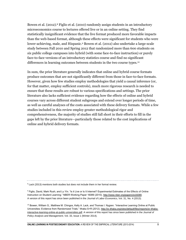Bowen et al. (2012).<sup>8</sup> Figlio et al. (2010) randomly assign students in an introductory microeconomics course to lectures offered live or in an online setting. They find statistically insignificant evidence that the live format produced more favorable impacts than the web-based format, although these effects were significant for students who were lower-achieving, male, and Hispanic.<sup>9</sup> Bowen et al. (2012) also undertake a large-scale study between Fall 2010 and Spring 2012 that randomized more than 600 students on six public college campuses into hybrid (with some face-to-face instruction) or purely face-to-face versions of an introductory statistics course and find no significant differences in learning outcomes between students in the two course types.<sup>10</sup>

In sum, the prior literature generally indicates that online and hybrid course formats produce outcomes that are not significantly different from those in face-to-face formats. However, given how few studies employ methodologies that yield a causal inference (or, for that matter, employ sufficient controls), much more rigorous research is needed to ensure that these results are robust to various specifications and settings. The prior literature also lacks sufficient evidence regarding how the effects of online and hybrid courses vary across different student subgroups and extend over longer periods of time, as well as careful analyses of the costs associated with these delivery formats. While a few studies included in this review employ greater methodological rigor and comprehensiveness, the majority of studies still fall short in their efforts to fill in the gaps left by the prior literature—particularly those related to the cost implications of online and hybrid delivery formats.

<sup>8</sup> Lack (2013) mentions both studies but does not include them in her formal review.

9 Figlio, David, Mark Rush, and Lu Yin. "Is it Live or Is It Internet? Experimental Estimates of the Effects of Online Instruction on Student Learning." NBER Working Paper 16089 (2010). [http://www.nber.org/papers/w16089.](http://www.nber.org/papers/w16089) A version of this report has since been published in the *Journal of Labor Economics*, Vol. 31, No. 4 (2013).

<sup>10</sup> Bowen, William G., Matthew M. Chingos, Kelly A. Lack, and Thomas I. Nygren. "Interactive Learning Online at Public Universities: Evidence from Randomized Trials." Ithaka S+R (2012)[. http://sr.ithaka.org/sites/default/files/reports/sr-ithaka](http://sr.ithaka.org/sites/default/files/reports/sr-ithaka-interactive-learning-online-at-public-universities.pdf)[interactive-learning-online-at-public-universities.pdf.](http://sr.ithaka.org/sites/default/files/reports/sr-ithaka-interactive-learning-online-at-public-universities.pdf) A version of this report has since been published in the *Journal of Policy Analysis and Management*, Vol. 33, Issue 1 (Winter 2014).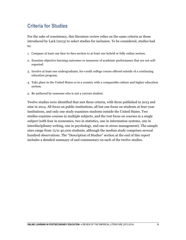# <span id="page-6-0"></span>**Criteria for Studies**

For the sake of consistency, this literature review relies on the same criteria as those introduced by Lack (2013) to select studies for inclusion. To be considered, studies had to:

- 1. Compare at least one face-to-face section to at least one hybrid or fully online section.
- 2. Examine objective learning outcomes or measures of academic performance that are not selfreported.
- 3. Involve at least one undergraduate, for-credit college course offered outside of a continuing education program.
- 4. Take place in the United States or in a country with a comparable culture and higher education system.
- 5. Be authored by someone who is not a current student.

Twelve studies were identified that met these criteria, with three published in 2013 and nine in 2014. All focus on public institutions, all but one focus on students at four-year institutions, and only one study examines students outside the United States. Two studies examine courses in multiple subjects, and the rest focus on courses in a single subject (with four in economics, two in statistics, one in information systems, one in interdisciplinary writing, one in psychology, and one in stress management). The sample sizes range from 75 to 40,000 students, although the median study comprises several hundred observations. The "Description of Studies" section at the end of this report includes a detailed summary of and commentary on each of the twelve studies.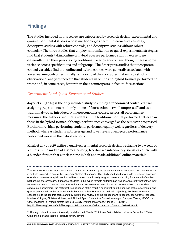# <span id="page-7-0"></span>**Findings**

The studies included in this review are categorized by research design: experimental and quasi-experimental studies whose methodologies permit inferences of causality, descriptive studies with robust controls, and descriptive studies without robust controls.<sup>11</sup> The three studies that employ randomization or quasi-experimental strategies find that students taking online or hybrid courses performed slightly worse to no differently than their peers taking traditional face-to-face courses, though there is some variance across specifications and subgroups. The descriptive studies that incorporate control variables find that online and hybrid courses were generally associated with lower learning outcomes. Finally, a majority of the six studies that employ strictly observational analyses indicate that students in online and hybrid formats performed no worse and, in some cases, better than their counterparts in face-to-face sections.

#### *Experimental and Quasi-Experimental Studies*

Joyce et al. (2014) is the only included study to employ a randomized controlled trial, assigning 725 students randomly to one of four sections—two "compressed" and two traditional—of an introductory microeconomics course. Across all performance measures, the authors find that students in the traditional format performed better than those in the hybrid format, although performance converged as the semester progressed. Furthermore, high-performing students performed equally well regardless of delivery method, whereas students with average and lower levels of expected performance performed worse in the hybrid sections.

Kwak et al. (2015) <sup>12</sup> utilize a quasi-experimental research design, replacing two weeks of lectures in the middle of a semester-long, face-to-face introductory statistics course with a blended format that cut class time in half and made additional online materials

 $12$  Although this article was not formally published until March 2015, it was first published online in December 2014 within the timeframe that this literature review covers.

<sup>&</sup>lt;sup>11</sup> Ithaka S+R also undertook a large-scale study in 2013 that analyzed student outcomes associated with hybrid formats in multiple universities across the University System of Maryland. This study conducted seven side-by-side comparisons of student outcomes in hybrid sections with outcomes in traditionally taught courses, controlling for a myriad of student background characteristics. It finds that students in the hybrid formats performed as well or even slightly better than their face-to-face peers on course pass rates and learning assessments, a result that held across subjects and student subgroups. Furthermore, the statistical insignificance of this result is consistent with the findings of the experimental and quasi-experimental studies included in this literature review. However, to maintain objectivity, this literature review chooses not to include this particular study in its formal review. For the full paper and its results, see Griffiths, Rebecca, Matthew Chingos, Christine Mulhern, and Richard Spies. "Interactive Online Learning on Campus: Testing MOOCs and Other Platforms in Hybrid Formats in the University System of Maryland." Ithaka S+R (2014). [http://sr.ithaka.org/sites/default/files/reports/S-R\\_Interactive\\_Online\\_Learning\\_Campus\\_20140716.pdf.](http://sr.ithaka.org/sites/default/files/reports/S-R_Interactive_Online_Learning_Campus_20140716.pdf)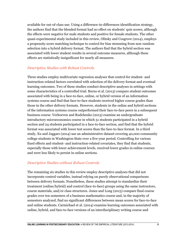available for out-of-class use. Using a difference-in-differences identification strategy, the authors find that the blended format had no effect on students' quiz scores, although the effects were negative for male students and positive for female students. The other quasi-experimental study included in this review, Olitsky and Cosgrove (2014), employs a propensity score matching technique to control for bias stemming from non-random selection into a hybrid delivery format. The authors find that the hybrid section was associated with lower student results in several outcome measures, although these effects are statistically insignificant for nearly all measures.

#### *Descriptive Studies with Robust Controls*

Three studies employ multivariate regression analyses that control for student- and instruction-related factors correlated with selection of the delivery format and eventual learning outcomes. Two of these studies conduct descriptive analyses in settings with some characteristics of a controlled trial. Burns et al. (2013) compare student outcomes associated with being in a face-to-face, online, or hybrid version of an information systems course and find that face-to-face students received higher course grades than those in the other delivery formats. However, students in the online and hybrid sections of the information systems course outperformed their face-to-face peers in a subsequent business course. Verhoeven and Rudchenko (2013) examine an undergraduate introductory microeconomics course in which 51 students participated in a hybrid section and 24 students participated in a face-to-face section, and find that the hybrid format was associated with lower test scores than the face-to-face format. In a third study, Xu and Jaggars (2014) use an administrative dataset covering 40,000 community college students in Washington State over a five-year period. Controlling for various fixed effects and student- and instruction-related covariates, they find that students, especially those with lower achievement levels, received lower grades in online courses and were less likely to persist in online sections.

#### *Descriptive Studies without Robust Controls*

The remaining six studies in this review employ descriptive analyses that did not incorporate control variables, instead relying on purely observational comparisons between delivery formats. Nonetheless, these studies attempt to standardize their treatment (online/hybrid) and control (face-to-face) groups using the same instructors, course materials, and/or class structures. Jones and Long (2013) compare final course grades over ten semesters of a business mathematics course and, in the majority of semesters analyzed, find no significant differences between mean scores for face-to-face and online students. Carmichael et al. (2014) examine learning outcomes associated with online, hybrid, and face-to-face versions of an interdisciplinary writing course and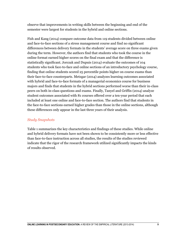observe that improvements in writing skills between the beginning and end of the semester were largest for students in the hybrid and online sections.

Fish and Kang (2014) compare outcome data from 119 students divided between online and face-to-face sections of a stress management course and find no significant differences between delivery formats in the students' average score on three exams given during the term. However, the authors find that students who took the course in the online format earned higher scores on the final exam and that the difference is statistically significant. Jorczak and Dupuis (2014) evaluate the outcomes of 104 students who took face-to-face and online sections of an introductory psychology course, finding that online students scored 25 percentile points higher on course exams than their face-to-face counterparts. Metzgar (2014) analyzes learning outcomes associated with hybrid and face-to-face formats of a managerial economics course for business majors and finds that students in the hybrid sections performed worse than their in-class peers on both in-class questions and exams. Finally, Tanyel and Griffin (2014) analyze student outcomes associated with 81 courses offered over a ten-year period that each included at least one online and face-to-face section. The authors find that students in the face-to-face sections earned higher grades than those in the online sections, although these differences only appear in the last three years of their analysis.

#### *Study Snapshots*

Table 1 summarizes the key characteristics and findings of these studies. While online and hybrid delivery formats have not been shown to be consistently more or less effective than face-to-face instruction across all studies, the results of the studies reviewed indicate that the rigor of the research framework utilized significantly impacts the kinds of results observed.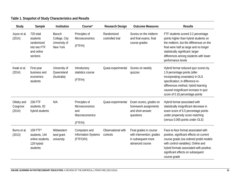| Study                             | Sample                                                                        | <b>Institution</b>                                          | Course*                                                             | Research Design                | <b>Outcome Measures</b>                                                                      | <b>Results</b>                                                                                                                                                                                                                                                       |
|-----------------------------------|-------------------------------------------------------------------------------|-------------------------------------------------------------|---------------------------------------------------------------------|--------------------------------|----------------------------------------------------------------------------------------------|----------------------------------------------------------------------------------------------------------------------------------------------------------------------------------------------------------------------------------------------------------------------|
| Joyce et al.<br>(2014)            | 725 total<br>students<br>randomized<br>into two FTF<br>and online<br>sections | <b>Baruch</b><br>College, City<br>University of<br>New York | Principles of<br>Microeconomics<br>(FTF/H)                          | Randomized<br>controlled trial | Scores on the midterm<br>and final exams, final<br>course grades                             | FTF students scored 3.2 percentage<br>points higher than hybrid students on<br>the midterm, but the differences on the<br>final were half as large and no longer<br>statistically significant; larger<br>differences among students with lower<br>performance levels |
| Kwak et al.<br>(2014)             | First-year<br>business and<br>economics<br>students                           | University of<br>Queensland<br>(Australia)                  | Introductory<br>statistics course<br>(FTF/H)                        | Quasi-experimental             | Scores on weekly<br>quizzes                                                                  | Hybrid format reduced quiz scores by<br>1.9 percentage points (after<br>incorporating covariates) in OLS<br>specification; in difference-in-<br>differences method, hybrid learning<br>caused insignificant increase in quiz<br>score of 0.16 percentage points      |
| Olitsky and<br>Cosgrove<br>(2014) | 236 FTF<br>students, 82<br>hybrid students                                    | N/A                                                         | Principles of<br>Microeconomics<br>and<br>Macroeconomics<br>(FTF/H) | Quasi-experimental             | Exam scores, grades on<br>homework assignments<br>and short-answer<br>questions              | Hybrid format associated with<br>statistically insignificant decrease in<br>exam score of 5.5 percentage points<br>under propensity score matching<br>(versus 0.065 points under OLS)                                                                                |
| Burns et al.<br>(2013)            | 109 FTF*<br>students, 144<br>online students,<br>129 hybrid<br>students       | Midwestern<br>land grant<br>university                      | Computers and<br><b>Information Systems</b><br>(FTF/O/H)            | Observational with<br>controls | Final grades in course<br>with intervention; grades<br>in subsequent more<br>advanced course | Face-to-face format associated with<br>positive, significant effects on current<br>course grade (via ordered probit models<br>with control variables); Online and<br>hybrid formats associated with positive,<br>significant effects on subsequent<br>course grade   |

### **Table 1. Snapshot of Study Characteristics and Results**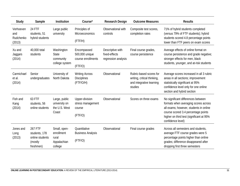| Study                                   | Sample                                                              | Institution                                                   | Course*                                                        | Research Design                                          | <b>Outcome Measures</b>                                                                       | <b>Results</b>                                                                                                                                                                                                               |
|-----------------------------------------|---------------------------------------------------------------------|---------------------------------------------------------------|----------------------------------------------------------------|----------------------------------------------------------|-----------------------------------------------------------------------------------------------|------------------------------------------------------------------------------------------------------------------------------------------------------------------------------------------------------------------------------|
| Verhoeven<br>and<br>Rudchenko<br>(2013) | 24 FTF<br>students, 51<br>hybrid students                           | Large public<br>university                                    | Principles of<br>Microeconomics<br>(FTF/H)                     | Observational with<br>controls                           | Composite test scores,<br>completion rates                                                    | 71% of hybrid students completed<br>(versus 79% of FTF students); hybrid<br>students scored 4.8 percentage points<br>lower than FTF peers on exam scores                                                                     |
| Xu and<br>Jaggars<br>(2014)             | 40,000 total<br>students                                            | Washington<br><b>State</b><br>community<br>college system     | Encompassed<br>500,000 unique<br>course enrollments<br>(FTF/O) | Descriptive with<br>fixed-effects<br>regression analysis | Final course grades,<br>course persistence                                                    | Average effects of online format on<br>course persistence and grade negative;<br>stronger effects for men, black<br>students, younger, and at-risk students                                                                  |
| Carmichael<br>et al.<br>(2014)          | Senior<br>undergraduates                                            | University of<br>North Dakota                                 | <b>Writing Across</b><br><b>Disciplines</b><br>(FTF/O/H)       | Observational                                            | Rubric-based scores for<br>writing, critical thinking,<br>and integrative learning<br>studies | Average scores increased in all 3 rubric<br>areas in all sections; improvement<br>statistically significant at 95%<br>confidence level only for one online<br>section and hybrid section                                     |
| Fish and<br>Kang<br>(2014)              | 63 FTF<br>students, 56<br>online students                           | Large, public<br>university on<br>the U.S. West<br>Coast      | Upper-division<br>stress management<br>course<br>(FTF/O)       | Observational                                            | Scores on three exams                                                                         | No significant differences between<br>formats when averaging scores across<br>all exams; however, students in online<br>course scored 3.4 percentage points<br>higher on third test (significant at 95%<br>confidence level) |
| Jones and<br>Long<br>(2013)             | 267 FTF<br>students, 178<br>online students<br>(mostly<br>freshmen) | Small, open-<br>enrollment<br>rural<br>Appalachian<br>college | Quantitative<br><b>Business Analysis</b><br>(FTF/O)            | Observational                                            | Final course grades                                                                           | Across all semesters and students,<br>average FTF course grades were 5<br>percentage points higher than online<br>grades; difference disappeared after<br>dropping first three semesters                                     |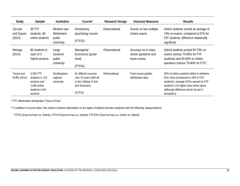| Study                           | Sample                                                                                     | <b>Institution</b>                                | Course <sup>*</sup>                                                                                  | Research Design | <b>Outcome Measures</b>                                      | <b>Results</b>                                                                                                                                                                                                            |
|---------------------------------|--------------------------------------------------------------------------------------------|---------------------------------------------------|------------------------------------------------------------------------------------------------------|-----------------|--------------------------------------------------------------|---------------------------------------------------------------------------------------------------------------------------------------------------------------------------------------------------------------------------|
| Jorczak<br>and Dupuis<br>(2014) | 35 FTF<br>students, 69<br>online students                                                  | Medium-size<br>Midwestern<br>public<br>university | Introductory<br>psychology course<br>(FTF/O)                                                         | Observational   | Scores on two multiple-<br>choice exams                      | Online students scored an average of<br>74% on exams, compared to 67% for<br>F2F students; difference statistically<br>significant                                                                                        |
| Metzgar<br>(2014)               | 80 students in<br>each of 3<br>hybrid sections                                             | Large<br>Southern<br>public<br>university         | Managerial<br>Economics (junior-<br>level)<br>(FTF/H)                                                | Observational   | Accuracy on in-class<br>clicker questions and<br>exam scores | Hybrid students scored 60-70% on<br>exams (versus 70-80% for FTF<br>students) and 30-60% on clicker<br>questions (versus 70-80% for FTF)                                                                                  |
| Tanyel and<br>Griffin (2014)    | 3,355 FTF<br>students in 132<br>sections and<br>2,266 online<br>students in 94<br>sections | Southeastern<br>regional<br>university            | 81 different courses<br>over 10 years (with 66<br>in the College of Arts<br>and Sciences)<br>(FTF/O) | Observational   | Final course grades,<br>withdrawal rates                     | 30% of online students failed or withdrew<br>from class (compared to 18% of F2F<br>students); average GPAs earned by F2F<br>students 0.15 higher than online peers<br>(although difference driven by last 5<br>semesters) |

\* FTF abbreviation designates "Face-to-Face"

\*\* In addition to course titles, this column contains information on the types of delivery formats analyzed with the following categorizations:

FTF/O (Face-to-Face vs. Online), FTF/H (Face-to-Face vs. Hybrid), FTF/O/H (Face-to-Face vs. Online vs. Hybrid)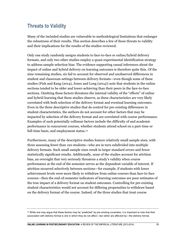## <span id="page-13-0"></span>**Threats to Validity**

Many of the included studies are vulnerable to methodological limitations that endanger the robustness of their results. This section describes a few of these threats to validity and their implications for the results of the studies reviewed.

Only one study randomly assigns students to face-to-face or online/hybrid delivery formats, and only two other studies employ a quasi-experimental identification strategy to address sample selection bias. The evidence supporting causal inferences about the impact of online and hybrid delivery on learning outcomes is therefore quite thin. Of the nine remaining studies, six fail to account for observed and unobserved differences in student and classroom settings between delivery formats—even though some of these studies (Fish and Kang (2014), Jones and Long (2014)) note that students in the online sections tended to be older and lower-achieving than their peers in the face-to-face sections. Omitting these factors threatens the internal validity of the "effects" of online and hybrid learning that these studies observe, as these characteristics are very likely correlated with both selection of the delivery format and eventual learning outcomes. Even in the three descriptive studies that do control for pre-existing differences in student characteristics, the authors do not account for other factors that may be impacted by selection of the delivery format and are correlated with course performance. Examples of such potentially collinear factors include the difficulty of and academic performance in concurrent courses, whether students attend school on a part-time or full-time basis, and employment status.<sup>13</sup>

Furthermore, many of the descriptive studies feature relatively small sample sizes, with three assessing fewer than 120 students—who are in turn subdivided into multiple delivery formats. Such small sample sizes result in larger standard errors and fewer statistically significant results. Additionally, none of the studies account for attrition bias, an oversight that very seriously threatens a study's validity when course performance at the end of the semester serves as the dependent variable of interest. If attrition occurred selectively between sections—for example, if students with lower achievement levels were more likely to withdraw from online courses than face-to-face courses—then the end-of-semester indicators of learning outcomes are poor estimates of the true impact of a delivery format on student outcomes. Controlling for pre-existing student characteristics would not account for differing propensities to withdraw based on the delivery format of the course. Indeed, of the three studies that treat course

 $13$  While one may argue that these factors may be "predicted" by pre-existing covariates, it is important to note that their association with delivery format is one in which they do not affect—but rather are affected by—the delivery format.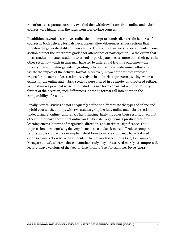retention as a separate outcome, two find that withdrawal rates from online and hybrid courses were higher than the rates from face-to-face courses.

In addition, several descriptive studies that attempt to standardize certain features of courses in both delivery formats nevertheless allow differences across sections that threaten the generalizability of their results. For example, in two studies, students in one section but not the other were graded for attendance or participation. To the extent that those grades motivated students to attend or participate in class more than their peers in other sections—which in turn may have led to differential learning outcomes—the unaccounted-for heterogeneity in grading policies may have undermined efforts to isolate the impact of the delivery format. Moreover, in two of the studies reviewed, exams for the face-to-face section were given in an in-class, proctored setting, whereas exams for the online and hybrid sections were offered in a remote, un-proctored setting. While it makes practical sense to test students in a form consistent with the delivery format of their section, such differences in testing format call into question the comparability of results.

Finally, several studies do not adequately define or differentiate the types of online and hybrid courses they study, with two studies grouping fully online and hybrid sections under a single "online" umbrella. This "lumping" likely muddies their results, given that other studies have shown that online and hybrid delivery formats produce different learning effects in terms of magnitude, direction, and statistical significance. The imprecision in categorizing delivery formats also makes it more difficult to compare results across studies. For example, hybrid formats in one study may have featured extensive interaction between students in lieu of in-class lecturing (see, for example, Metzgar (2014)), whereas those in another study may have served merely as compressed, lecture-heavy versions of the face-to-face formats (see, for example, Joyce (2014)).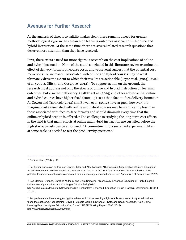### <span id="page-15-0"></span>**Avenues for Further Research**

As the analysis of threats to validity makes clear, there remains a need for greater methodological rigor in the research on learning outcomes associated with online and hybrid instruction. At the same time, there are several related research questions that deserve more attention than they have received.

First, there exists a need for more rigorous research on the cost implications of online and hybrid instruction. None of the studies included in this literature review examine the effect of delivery formats on course costs, and yet several suggest that the potential cost reductions—or increases—associated with online and hybrid courses may be what ultimately drive the extent to which their results are actionable (Joyce et al. (2014), Kwak et al. (2015), Olitsky and Cosgrove (2014)). To support action on the ground, the research must address not only the effects of online and hybrid instruction on learning outcomes, but also their efficiency. Griffiths et al. (2014) and others observe that online and hybrid courses have higher fixed (start-up) costs than face-to-face delivery formats.<sup>14</sup> As Cowen and Tabarrok (2014) and Bowen et al. (2012) have argued, however, the marginal costs associated with online and hybrid courses may be significantly less than those associated with face-to-face formats and should diminish every time that the online or hybrid section is offered.<sup>15</sup> The challenge to studying the long-term cost effects in the field is that many efforts at online and hybrid instruction are curtailed before the high start-up costs can be amortized.<sup>16</sup> A commitment to a sustained experiment, likely at some scale, is needed to test the productivity question.<sup>17</sup>

<sup>14</sup> Griffiths et al. (2014), p. 47.

<sup>&</sup>lt;sup>15</sup> For further discussion on this, see Cowen, Tyler and Alex Tabarrok. "The Industrial Organization of Online Education." *American Economic Review: Papers and Proceedings* 104, no. 5 (2014): 519-522. For illustrative simulations of the potential longer-term cost savings associated with a technology-enhanced course, see Appendix B of Bowen et al. (2012).

<sup>&</sup>lt;sup>16</sup> See Marcum, Deanna, Christine Mulhern, and Clara Samayoa. "Technology-Enhanced Education at Public Flagship Universities: Opportunities and Challenges." Ithaka S+R (2014).

[http://sr.ithaka.org/sites/default/files/reports/SR\\_Technology\\_Enhanced\\_Education\\_Public\\_Flagship\\_Universities\\_121114](http://sr.ithaka.org/sites/default/files/reports/SR_Technology_Enhanced_Education_Public_Flagship_Universities_121114_0.pdf) [\\_0.pdf.](http://sr.ithaka.org/sites/default/files/reports/SR_Technology_Enhanced_Education_Public_Flagship_Universities_121114_0.pdf)

 $17$  For preliminary evidence suggesting that advances in online learning might enable institutions of higher education to "bend the cost curve," see Deming, David J., Claudia Goldin, Lawrence F. Katz, and Noam Yuchtman. "Can Online Learning Bend the Higher Education Cost Curve?" NBER Working Paper 20890 (2015). [http://www.nber.org/papers/w20890.pdf.](http://www.nber.org/papers/w20890.pdf)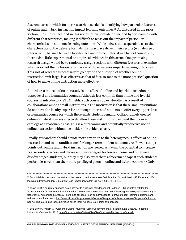A second area in which further research is needed is identifying how particular features of online and hybrid instruction impact learning outcomes.<sup>18</sup> As discussed in the prior section, the studies included in this review often conflate online and hybrid courses with different characteristics, making it difficult to tease out the impact of particular characteristics on students' learning outcomes. While a few studies speculate as to the characteristics of the delivery formats that may have driven their results (e.g., degree of interactivity, balance between face-to-face and online material in a hybrid course, etc.), there exists little experimental or empirical evidence in this arena. One promising research design would be to randomly assign sections with different features to examine whether or not the inclusion or omission of those features impacts learning outcomes. This sort of research is necessary to go beyond the question of whether online instruction, writ large, is as effective as that of face-to-face to the more practical question of how to make online instruction more effective.

A third area in need of further study is the effect of online and hybrid instruction in upper-level and humanities courses. Although less common than online and hybrid courses in introductory STEM fields, such courses do exist—often as a result of collaborations among small institutions.<sup>19</sup> The motivation is that these small institutions do not have the faculty expertise or enough interested students to offer every upper-level or humanities course for which there exists student demand. Collaboratively created online or hybrid courses effectively allow these institutions to expand their course catalogs at a reasonable cost. This is a burgeoning and potentially productive use of online instruction without a considerable evidence base.

Finally, researchers should devote more attention to the heterogeneous effects of online instruction and to its ramifications for longer-term student outcomes. As Bowen (2013) points out, online and hybrid instruction are viewed as having the potential to increase postsecondary access and decrease time-to-degree for lower-income and otherwise disadvantaged students, but they may also exacerbate achievement gaps if such students perform less well than their more privileged peers in online and hybrid courses.<sup>20</sup> Only

<sup>&</sup>lt;sup>18</sup> For a brief discussion on the status of the research in this area, see Bell, Bradford S., and Jessica E. Federman. "Elearning in Postsecondary Education." *The Future of Children* 23, no. 1 (2013): 165-185.

 $19$  Ithaka S+R is currently engaged as an advisor to a Council of Independent Colleges (CIC) initiative entitled the "Consortium for Online Humanities Instruction," which seeks to explore how online learning technologies—particularly in upper-level, humanities courses at liberal arts colleges—can be harnessed to improve student learning outcomes and reduce instructional costs. [http://www.cic.edu/Programs-and-Services/Programs/Online-Humanities/Pages/default.aspx.](http://www.cic.edu/Programs-and-Services/Programs/Online-Humanities/Pages/default.aspx) [http://sr.ithaka.org/blog-individual/does-online-learning-have-role-liberal-arts-colleges.](http://sr.ithaka.org/blog-individual/does-online-learning-have-role-liberal-arts-colleges)

<sup>&</sup>lt;sup>20</sup> See Bowen, William G. "Academia Online: Musings (Some Unconventional)." Stafford Little Lecture, Princeton University, October 14, 2013. [http://ithaka.org/sites/default/files/files/ithaka-stafford-lecture-final.pdf.](http://ithaka.org/sites/default/files/files/ithaka-stafford-lecture-final.pdf)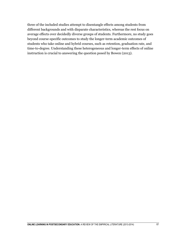three of the included studies attempt to disentangle effects among students from different backgrounds and with disparate characteristics, whereas the rest focus on average effects over decidedly diverse groups of students. Furthermore, no study goes beyond course-specific outcomes to study the longer-term academic outcomes of students who take online and hybrid courses, such as retention, graduation rate, and time-to-degree. Understanding these heterogeneous and longer-term effects of online instruction is crucial to answering the question posed by Bowen (2013).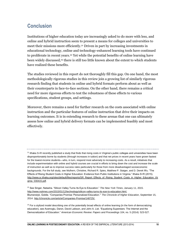# <span id="page-18-0"></span>**Conclusion**

Institutions of higher education today are increasingly asked to do more with less, and online and hybrid instruction seem to present a means for colleges and universities to meet their missions more efficiently.<sup>21</sup> Driven in part by increasing investments in educational technology, online and technology-enhanced learning tools have continued to proliferate in recent years.<sup>22</sup> Yet while the potential benefits of online learning have been widely discussed,<sup>23</sup> there is still too little known about the extent to which students have realized these benefits.

The studies reviewed in this report do not thoroughly fill this gap. On one hand, the most methodologically rigorous studies in this review join a growing list of similarly rigorous research finding that students in online and hybrid formats perform about as well as their counterparts in face-to-face sections. On the other hand, there remains a critical need for more rigorous efforts to test the robustness of these effects to various specifications, student groups, and settings.

Moreover, there remains a need for further research on the costs associated with online instruction and the particular features of online instruction that drive their impacts on learning outcomes. It is in extending research to these arenas that one can ultimately assess how online and hybrid delivery formats can be implemented feasibly and most effectively.

<sup>&</sup>lt;sup>21</sup> Ithaka S+R recently published a study that finds that rising costs in Virginia's public colleges and universities have been disproportionately borne by students (through increases in tuition) and that net prices in recent years have grown fastest for the lowest-income students—who, in turn, respond most adversely to increasing costs. As a result, initiatives that include experimentation with online and hybrid courses are crucial in efforts to bring down the cost and increase the scale of instruction as well as to improve success rates particularly for those from more disadvantaged socioeconomic backgrounds. For the full study, see Mulhern, Christine, Richard R. Spies, Matthew P. Staiger, and D. Derek Wu. "The Effects of Rising Student Costs in Higher Education: Evidence from Public Institutions in Virginia." Ithaka S+R (2015). [http://www.sr.ithaka.org/sites/default/files/reports/SR\\_Report\\_Effects\\_of\\_Rising\\_Student\\_Costs\\_in\\_Higher\\_Education\\_Vir](http://www.sr.ithaka.org/sites/default/files/reports/SR_Report_Effects_of_Rising_Student_Costs_in_Higher_Education_Virginia_030415.pdf) [ginia\\_030415.pdf.](http://www.sr.ithaka.org/sites/default/files/reports/SR_Report_Effects_of_Rising_Student_Costs_in_Higher_Education_Virginia_030415.pdf)

<sup>22</sup> See Singer, Natasha. "Silicon Valley Turns Its Eye to Education." *The New York Times*, January 11, 2015. [http://www.nytimes.com/2015/01/12/technology/silicon-valley-turns-its-eye-to-education.html.](http://www.nytimes.com/2015/01/12/technology/silicon-valley-turns-its-eye-to-education.html) Blumenstyk, Goldie. "Companies Promise 'Personalized Education.'" *The Chronicle of Higher Education*, September 15, 2014[. http://chronicle.com/article/Companies-Promise/148725/.](http://chronicle.com/article/Companies-Promise/148725/)

 $23$  For a stylized model describing one of the potentially broad effects of online learning (in the form of democratizing education), see Acemoglu, Daron, David Laibson, and John A. List. "Equalizing Superstars: The Internet and the Democratization of Education." *American Economic Review: Papers and Proceedings* 104, no. 5 (2014): 523-527.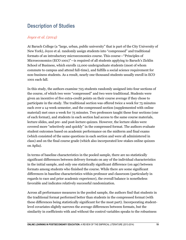## <span id="page-19-0"></span>**Description of Studies**

#### *Joyce et al. (2014)*

At Baruch College (a "large, urban, public university" that is part of the City University of New York), Joyce et al. randomly assign students into "compressed" and traditional formats of an introductory microeconomics course. This course—"Principles of Microeconomics (ECO 1001)"—is required of all students applying to Baruch's Zicklin School of Business, which enrolls 12,000 undergraduate students (most of whom commute to campus and attend full-time), and fulfills a social science requirement for non-business students. As a result, nearly one thousand students usually enroll in ECO 1001 each fall.

In this study, the authors examine 725 students randomly assigned into four sections of the course, of which two were "compressed" and two were traditional. Students were given an incentive of five extra-credit points on their course average if they chose to participate in the study. The traditional section was offered twice a week for 75 minutes each over a 14-week semester, and the compressed section (supplemented with online material) met once a week for 75 minutes. Two professors taught these four sections (one of each format), and students in each section had access to the same course materials, lecture slides, and pre- and post-lecture quizzes. However, the lecture slides were covered more "selectively and quickly" in the compressed format. The authors evaluate student outcomes based on academic performance on the midterm and final exams (which consisted of the same questions in each section and were all administered in class) and on the final course grade (which also incorporated low-stakes online quizzes on Aplia).

In terms of baseline characteristics in the pooled sample, there are no statistically significant differences between delivery formats on any of the individual characteristics in the initial sample, and only one statistically significant difference (on age) between formats among students who finished the course. While there are some significant differences in baseline characteristics within professor and classroom (particularly in regards to race and prior academic experience), the overall balance is nonetheless favorable and indicates relatively successful randomization.

Across all performance measures in the pooled sample, the authors find that students in the traditional format performed better than students in the compressed format (with these differences being statistically significant for the most part). Incorporating studentlevel covariates slightly narrows the average differences between formats, but the similarity in coefficients with and without the control variables speaks to the robustness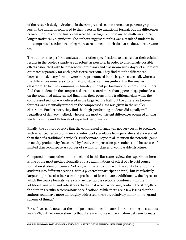of the research design. Students in the compressed section scored 3.2 percentage points less on the midterm compared to their peers in the traditional format, but the differences between formats on the final exam were half as large as those on the midterm and no longer statistically significant. The authors suggest that this was a result of students in the compressed section becoming more accustomed to their format as the semester wore on.

The authors also perform analyses under other specifications to ensure that their original results in the pooled sample are as robust as possible. In order to disentangle possible effects associated with heterogeneous professors and classroom sizes, Joyce et al. present estimates separately for each professor/classroom. They find that the differences between the delivery formats were more pronounced in the larger lecture hall, whereas the differences were less substantial and statistically insignificant in the smaller classroom. In fact, in examining within-day student performance on exams, the authors find that students in the compressed section scored more than 5 percentage points less on the combined midterm and final than their peers in the traditional class when the compressed section was delivered in the large lecture hall, but the difference between formats was essentially zero when the compressed class was given in the smaller classroom. Furthermore, they find that high-performing students did equally well regardless of delivery method, whereas the most consistent differences occurred among students in the middle tercile of expected performance.

Finally, the authors observe that the compressed format was not very costly to produce, with advanced testing software and e-textbooks available from publishers at a lower cost than that of a traditional textbook. Furthermore, Joyce et al. mention the potential gains in faculty productivity (measured by faculty compensation per student) and better use of limited classroom space as sources of savings for classes of comparable structure.

Compared to many other studies included in this literature review, the experiment here is one of the most methodologically robust examinations of effect of a hybrid course format on student outcomes. Not only is it the only study with the ability to randomize students into different sections (with a 96 percent participation rate), but its relatively large sample size also increases the precision of its estimates. Additionally, the degree to which the course formats were standardized across sections, combined with the additional analyses and robustness checks that were carried out, confirm the strength of the author's results across various specifications. While there are a few issues that the authors could have more thoroughly addressed, these are relatively minor in the "grand scheme of things."

First, Joyce et al. note that the total post-randomization attrition rate among all students was 9.5%, with evidence showing that there was not selective attrition between formats.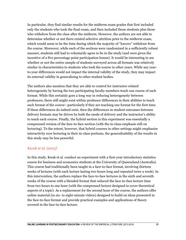In particular, they find similar results for the midterm exam grades that first included only the students who took the final exam, and then included those students plus those who withdrew from the class after the midterm. However, the authors are not able to determine whether or not there existed selective attrition prior to the midterm exam, which would seem to be the time during which the majority of "leavers" withdraw from the course. Moreover, while each of the sections were randomized in a sufficiently robust manner, students still had to voluntarily agree to be in the study (and were given the incentive of a five percentage point participation bonus). It would be interesting to see whether or not the entire sample of students surveyed across all formats was relatively similar in characteristics to students who took the course in other years. While any yearto-year differences would not impact the internal validity of the study, they may impact its external validity in generalizing to other student bodies.

The authors also mention that they are able to control for instructor-related heterogeneity by having the two participating faculty members teach one course of each format. While this certainly goes a long way in reducing heterogeneity between professors, there still might exist within-professor differences in their abilities to teach each format of the course—particularly if they are teaching one format for the first time. If these differences do indeed exist, then the differences in student outcomes between delivery formats may be driven by both the mode of delivery and the instructor's ability to teach each course. Finally, the hybrid section in this experiment was essentially a compressed version of the face-to-face section (with the in-class emphasis still on lecturing). To the extent, however, that hybrid courses in other settings might emphasize interactivity over lecturing in their in-class portions, the generalizability of the results in this study may be less powerful.

#### *Kwak et al. (2015)*

In this study, Kwak et al. conduct an experiment with a first-year introductory statistics course for business and economics students at the University of Queensland (Australia). This course had traditionally been taught in a face-to-face format, involving thirteen weeks of lectures (with each lecture lasting two hours long and repeated twice a week). In this intervention, the authors replace the face-to-face lectures in the sixth and seventh weeks of the course with a blended format that reduced the face-to-face lecture time from two hours to one hour (with the compressed lecture designed to cover theoretical aspects of a topic). As a replacement for the second hour of the course, the authors offer online material (in six- to eight-minute videos) designed to build on ideas presented in the face-to-face format and provide practical examples and applications of theory covered in the face-to-face lecture.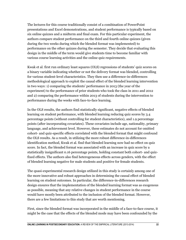The lectures for this course traditionally consist of a combination of PowerPoint presentations and Excel demonstrations, and student performance is typically based on six online quizzes and a midterm and final exam. For this particular experiment, the authors compare student performance on the third and fourth online quizzes (given during the two weeks during which the blended format was implemented) to performance on the other quizzes during the semester. They decide that evaluating this design in the middle of the term would give students time to become familiar with various course learning activities and the online quiz requirements.

Kwak et al. first run ordinary least squares (OLS) regressions of students' quiz scores on a binary variable indicating whether or not the delivery format was blended, controlling for various student-level characteristics. They then use a difference-in-differences methodological approach to exploit the causal effect of the blended learning intervention in two ways: 1) comparing the students' performance in 2013 (the year of the experiment) to the performance of prior students who took the class in 2011 and 2012 and 2) comparing the performance within 2013 of students during the intervention to performance during the weeks with face-to-face learning.

In the OLS results, the authors find statistically significant, negative effects of blended learning on student performance, with blended learning reducing quiz scores by 3.4 percentage points (without controlling for student characteristics), and 1.9 percentage points (after incorporating covariates). These covariates include age, nationality, primary language, and achievement level. However, these estimates do not account for omitted cohort- and quiz-specific effects correlated with the blended format that might confound the OLS results. As a result, in utilizing the more robust difference-in-differences identification method, Kwak et al. find that blended learning now had no effect on quiz score. In fact, the blended format was associated with an increase in quiz score by a statistically insignificant 0.16 percentage points, holding constant both cohort- and quizfixed effects. The authors also find heterogeneous effects across genders, with the effect of blended learning negative for male students and positive for female students.

The quasi-experimental research design utilized in this study is certainly among one of the more innovative and robust approaches in determining the causal effect of blended learning on student outcomes. In particular, the difference-in-differences research design ensures that the implementation of the blended learning format was as exogenous as possible, meaning that any relative changes in student performance in the course would have mostly been attributed to the inclusion of the blended format. However, there are a few limitations to this study that are worth mentioning.

First, since the blended format was incorporated in the middle of a face-to-face course, it might be the case that the effects of the blended mode may have been confounded by the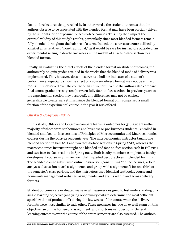face-to-face lectures that preceded it. In other words, the student outcomes that the authors observe to be associated with the blended format may have been partially driven by the students' prior exposure to face-to-face courses. This may then impact the external validity of this study's results, particularly since most blended formats remain fully blended throughout the balance of a term. Indeed, the course structure utilized by Kwak et al. is relatively "non-traditional," as it would be rare for instructors outside of an experimental setting to devote two weeks in the middle of a face-to-face section to a blended format.

Finally, in evaluating the direct effects of the blended format on student outcomes, the authors rely on quiz grades attained in the weeks that the blended mode of delivery was implemented. This, however, does not serve as a holistic indicator of a student's performance, especially since the effect of a course delivery format may not be entirely robust until observed over the course of an entire term. While the authors also compare final course grades across years (between fully face-to-face sections in previous years to the experimental section they observed), any differences may not be entirely generalizable to external settings, since the blended format only comprised a small fraction of the experimental course in the year it was offered.

#### *Olitsky & Cosgrove (2014)*

In this study, Olitsky and Cosgrove compare learning outcomes for 318 students—the majority of whom were sophomores and business or pre-business students—enrolled in blended and face-to-face versions of Principles of Microeconomics and Macroeconomics courses during the 2011-12 academic year. The microeconomics instructor taught one blended section in Fall 2011 and two face-to-face sections in Spring 2012, whereas the macroeconomics instructor taught one blended and face-to-face section each in Fall 2011 and two face-to-face sections in Spring 2012. Both faculty members completed a faculty development course in Summer 2011 that imparted best practices in blended learning. The blended course substituted online instruction (constituting "online lectures, article analyses, discussion board assignments, and group wiki assignments") for one third of the semester's class periods, and the instructors used identical textbooks, course and homework management websites, assignments, and exams within and across delivery formats.

Student outcomes are evaluated via several measures designed to test understanding of a single learning objective (analyzing opportunity costs to determine the most "efficient specialization of production") during the few weeks of the course when the delivery formats were most similar to each other. These measures include an overall exam on this objective, an online homework assignment, and short-answer questions. General learning outcomes over the course of the entire semester are also assessed. The authors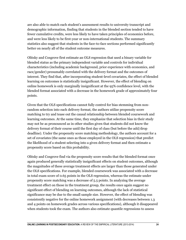are also able to match each student's assessment results to university transcript and demographic information, finding that students in the blended section tended to have fewer cumulative credits, were less likely to have taken principles of economics before, and were less likely to be first-year or non-international students. The summary statistics also suggest that students in the face-to-face sections performed significantly better on nearly all of the student outcome measures.

Olitsky and Cosgrove first estimate an OLS regression that used a binary variable for blended status as the primary independent variable and controls for individual characteristics (including academic background, prior experience with economics, and race/gender) presumably correlated with the delivery format and the outcomes of interest. They find that, after incorporating student-level covariates, the effect of blended learning on outcomes is statistically insignificant. However, the effect of blending on online homework is only marginally insignificant at the 95% confidence level, with the blended format associated with a decrease in the homework grade of approximately four points.

Given that the OLS specifications cannot fully control for bias stemming from nonrandom selection into each delivery format, the authors utilize propensity score matching to try and tease out the causal relationship between blended coursework and learning outcomes. At the same time, they emphasize that selection bias in their study may not be as pronounced as in other studies given that students did not know the delivery format of their course until the first day of class (but before the add/drop deadline). Under the propensity score matching methodology, the authors account for a set of covariates (the same ones as those employed in the OLS regression) that predict the likelihood of a student selecting into a given delivery format and then estimate a propensity score based on this probability.

Olitsky and Cosgrove find via the propensity score results that the blended format once again produced generally statistically insignificant effects on student outcomes, although the magnitudes of these average treatment effects are larger than those generated under the OLS specifications. For example, blended coursework was associated with a decrease in total exam score of 0.65 points in the OLS regression, whereas the estimate under propensity score matching was a decrease of 5.5 points. In analyzing the average treatment effect on those in the treatment group, the results once again suggest no significant effect of blending on learning outcomes, although the lack of statistical significance may be due to the small sample size. However, the effect of blending was consistently negative for the online homework assignment (with decreases between 1.3 and 4 points on homework grades across various specifications), although it disappeared when students took the exam. The authors also estimate quantile regressions to assess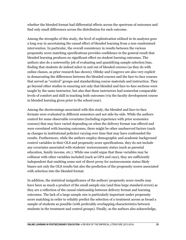whether the blended format had differential effects across the spectrum of outcomes and find only small differences across the distribution for each outcome.

Among the strengths of this study, the level of sophistication utilized in its analyses goes a long way in ascertaining the causal effect of blended learning from a non-randomized intervention. In particular, the overall consistency in results between the various propensity score matching specifications provides confidence in the general result that blended learning produces no significant effect on student learning outcomes. The authors also do a noteworthy job of evaluating and quantifying sample selection bias, finding that students do indeed select in and out of blended courses (as they do with online classes, as prior research has shown). Olitsky and Cosgrove are also very explicit in demarcating the differences between the blended courses and the face-to-face courses that served as "control" groups and standardizing course materials and instruction. They go beyond other studies in ensuring not only that blended and face-to-face sections were taught by the same instructor, but also that these instructors had somewhat comparable levels of comfort and skill in teaching both outcomes (via the faculty development course in blended learning given prior to the school year).

Among the shortcomings associated with this study, the blended and face-to-face formats were evaluated in different semesters and not side-by-side. While the authors control for some observable covariates (including experience with prior economics courses) that may have varied depending on when the delivery format was offered and were correlated with learning outcomes, there might be other unobserved factors (such as changes in institutional policies) varying over time that may have confounded the results. Furthermore, while the authors employ demographic and academic background control variables in their OLS and propensity score specifications, they do not include any covariates associated with students' socioeconomic status (such as parental education, family income, etc.). While one could argue that these variables may be collinear with other variables included (such as GPA and race), they are sufficiently independent that omitting some sort of direct proxy for socioeconomic status likely biases not only the OLS results but also the prediction of the propensity scores associated with selection into the blended format.

In addition, the statistical insignificance of the authors' propensity score results may have been as much a product of the small sample size (and thus large standard errors) as they are a reflection of the causal relationship between delivery format and learning outcomes. The lack of a large sample size is particularly important under propensity score matching in order to reliably predict the selection of a treatment across as broad a sample of students as possible (with preferably overlapping characteristics between students in the treatment and control groups). Finally, as the authors also acknowledge,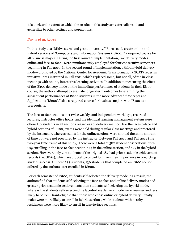it is unclear the extent to which the results in this study are externally valid and generalize to other settings and populations.

#### *Burns et al. (2013)*

In this study at a "Midwestern land grant university," Burns et al. create online and hybrid versions of "Computers and Information Systems (IS100)," a required course for all business majors. During the first round of implementation, two delivery modes online and face-to-face—were simultaneously employed for four consecutive semesters beginning in Fall 2010. In the second round of implementation, a third hybrid delivery mode—promoted by the National Center for Academic Transformation (NCAT) redesign initiative—was instituted in Fall 2011, which replaced some, but not all, of the in-class meetings with online, interactive learning activities. In addition to measuring the effect of the IS100 delivery mode on the immediate performance of students in their IS100 course, the authors attempt to evaluate longer-term outcomes by examining the subsequent performances of IS100 students in the more advanced "Concepts and Applications (IS200)," also a required course for business majors with IS100 as a prerequisite.

The face-to-face sections met twice weekly, and independent workdays, recorded lectures, instructor office hours, and the identical learning management system were offered to students in all sections regardless of delivery method. For the face-to-face and hybrid sections of IS100, exams were held during regular class meetings and proctored by the instructor, whereas exams for the online sections were allotted the same amount of time but were not proctored by the instructor. Between Fall 2010 and Fall 2012 (the two-year time frame of this study), there were a total of 382 student observations, with 109 enrolling in the face-to-face section, 144 in the online section, and 129 in the hybrid section. However, only 233 students of the original 382 had prior academic achievement records (i.e. GPAs), which are crucial to control for given their importance in predicting student success. Of these 233 students, 130 students that completed an IS100 section offered by the authors later enrolled in IS200.

For each semester of IS100, students self-selected the delivery mode. As a result, the authors find that students self-selecting the face-to-face and online delivery modes had greater prior academic achievements than students self-selecting the hybrid mode, whereas the students self-selecting the face-to-face delivery mode were younger and less likely to be Pell Grant-eligible than those who chose online or hybrid delivery. Finally, males were more likely to enroll in hybrid sections, while students with nearby residences were more likely to enroll in face-to-face sections.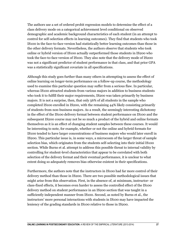The authors use a set of ordered probit regression models to determine the effect of a class delivery mode on a categorical achievement level conditional on observed demographic and academic background characteristics of each student (in an attempt to control for self-selection effects in learning outcomes). They find that students who took IS100 in the face-to-face version had statistically better learning outcomes than those in the other delivery formats. Nevertheless, the authors observe that students who took online or hybrid version of IS100 actually outperformed those students in IS200 who took the face-to-face version of IS100. They also note that the delivery mode of IS200 was not a significant predictor of student performance in that class, and that prior GPA was a statistically significant covariate in all specifications.

Although this study goes further than many others in attempting to assess the effect of online learning on longer-term performance on a follow-up course, the methodology used to examine this particular question may suffer from a serious flaw. In particular, whereas IS100 attracted students from various majors in addition to business students who took it to fulfill their major requirements, IS200 was taken primarily by business majors. It is not a surprise, then, that only 56% of all students in the sample who completed IS100 enrolled in IS200, with the remaining 44% likely consisting primarily of students from non-business majors. As a result, the seemingly interesting dichotomy in the effect of the IS100 delivery format between student performance on IS100 and the subsequent IS200 course may not be so much a product of the hybrid and online formats themselves as it is an effect of changing student samples between these courses. It would be interesting to note, for example, whether or not the online and hybrid formats for IS100 tended to have larger concentrations of business majors who would later enroll in IS200. This particular issue is, in some ways, a microcosm of the larger threat of sample selection bias, which originates from the students self-selecting into their initial IS100 section. While Burns et al. attempt to address this possible threat to internal validity by controlling for student-level characteristics that appear to be correlated with both selection of the delivery format and their eventual performance, it is unclear to what extent doing so adequately removes bias otherwise existent in their specifications.

Furthermore, the authors note that the instructors in IS100 had far more control of their delivery method than those in IS200. There are two possible methodological issues that might arise from this observation. First, in the absence of, at minimum, instructor- or class-fixed effects, it becomes even harder to assess the controlled effect of the IS100 delivery method on student performance in an IS200 section that was taught in a sufficiently independent manner from IS100. Second, as noted by Burns et al., the instructors' more personal interactions with students in IS100 may have impacted the leniency of the grading standards in IS100 relative to those in IS200.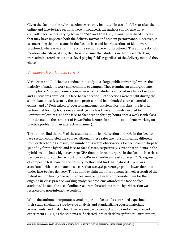Given the fact that the hybrid sections were only instituted in 2011 (a full year after the online and face-to-face sections were introduced), the authors should also have controlled for factors varying between 2010 and 2011 (i.e., through year-fixed effects) that may have impacted both the delivery format and student performance. Moreover, it is concerning that the exams in the face-to-face and hybrid sections of IS100 were proctored, whereas exams in the online sections were not proctored. The authors do not mention what steps, if any, they took to ensure that students in their research design were administered exams on a "level playing field" regardless of the delivery method they chose.

#### *Verhoeven & Rudchenko (2013)*

Verhoeven and Rudchenko conduct this study at a "large public university" where the majority of students work and commute to campus. They examine an undergraduate Principles of Microeconomics course, in which 51 students enrolled in a hybrid section and 24 students enrolled in a face-to-face section. Both sections were taught during the same sixteen-week term by the same professor and had identical course materials, exams, and a "Desire2Learn" course management system. For this class, the hybrid section met for 1.25 hours once a week (with class time exclusively devoted to PowerPoint lectures) and the face-to-face section for 2.75 hours once a week (with class time devoted to the same set of PowerPoint lectures in addition to students working on practice problems in an interactive manner).

The authors find that 71% of the students in the hybrid section and 79% in the face-toface section completed the course, although these rates are not significantly different from each other. As a result, the number of student observations for each course drops to 36 and 19 for the hybrid and face-to-face classes, respectively. Given that students in the hybrid section had a higher average GPA than their counterparts in the face-to-face class, Verhoeven and Rudchenko control for GPA in an ordinary least squares (OLS) regression of composite test score on the delivery method and find that hybrid delivery was associated with an estimated test score that was 4.8 percentage points lower than that under face-to-face delivery. The authors explain that this outcome is likely a result of the hybrid section having "no required learning activities to compensate them for the ongoing in-class practice working analytical problems afforded the face-to-face students." In fact, the use of online resources for students in the hybrid section was restricted to non-interactive content.

While the authors incorporate several important facets of a controlled experiment into their study (including side-by-side analysis and standardizing course materials, assessments, and instructor), they are unable to conduct a fully randomized control experiment (RCT), as the students self-selected into each delivery format. Furthermore,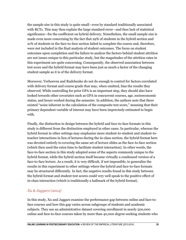the sample size in this study is quite small—even by standard traditionally associated with RCTs. This may then explain the large standard error—and thus lack of statistical significance—for the coefficient on hybrid delivery. Nonetheless, the small sample size is made even more concerning by the fact that 29% of students in the hybrid section and 21% of students in the face-to-face section failed to complete the course and, therefore, were not included in the final analysis of student outcomes. The focus on student outcomes upon completion and the failure to analyze the factors behind student attrition are not issues unique to this particular study, but the magnitudes of the attrition rates in this experiment are quite concerning. Consequently, the observed association between test score and the hybrid format may have been just as much a factor of the changing student sample as it is of the delivery format.

Moreover, Verhoeven and Rudchenko do not do enough to control for factors correlated with delivery format and course grade that may, when omitted, bias the results they observed. While controlling for prior GPA is an important step, they should also have looked towards other covariates such as GPA in concurrent courses, age, socioeconomic status, and hours worked during the semester. In addition, the authors note that there existed "noise inherent in the calculation of the composite test score," meaning that their primary dependent variable of interest may have been imprecisely estimated to begin with.

Finally, the distinction in design between the hybrid and face-to-face formats in this study is different from the distinction employed in other cases. In particular, whereas the hybrid format in other settings may emphasize more student-to-student and student-toteacher interactions in lieu of lectures during the in-class section, the hybrid format here was devoted entirely to covering the same set of lecture slides as the face-to-face section (which then used the extra time to facilitate student interaction). In other words, the face-to-face section in this study adopted some of the aspects commonly unique to the hybrid format, while the hybrid section itself became virtually a condensed version of a face-to-face lecture. As a result, it is very difficult, if not impossible, to generalize the results in this experiment to other settings where the hybrid and face-to-face formats may be structured differently. In fact, the negative results found in this study between the hybrid format and student test scores could very well speak to the positive effect of in-class interaction (which is traditionally a hallmark of the hybrid format).

#### *Xu & Jaggars (2014)*

In this study, Xu and Jaggars examine the performance gap between online and face-toface courses and how this gap varies across subgroups of students and academic subjects. They use an administrative dataset covering enrollment in nearly 500,000 online and face-to-face courses taken by more than 40,000 degree-seeking students who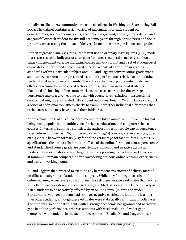initially enrolled in 34 community or technical colleges in Washington State during Fall 2004. The dataset contains a rich variety of information for each student on demographics, socioeconomic status, academic background, and wage records. Xu and Jaggars follow each student for five full academic years through Spring 2009 and focus primarily on assessing the impact of delivery format on course persistence and grade.

In their regression analyses, the authors first use an ordinary least squares (OLS) model that regresses some indicator of course performance (i.e., persistence or grade) on a binary independent variable indicating course delivery format and a set of student-level covariates and term- and subject-fixed effects. To deal with variation in grading standards within a particular subject area, Xu and Jaggars convert course grade into a standardized z-score that represented a student's performance relative to that of other students in standard deviation units. The authors then incorporate individual-fixed effects to account for unobserved factors that may affect an individual student's likelihood of choosing online coursework, as well as a covariate for the average persistence rate of a given course to deal with course-level variation in instructional quality that might be correlated with student outcomes. Finally, Xu and Jaggars conduct a series of additional robustness checks to examine whether individual differences that varied across time may have biased their initial results.

Approximately 10% of all course enrollments were taken online, with the online format being most popular in humanities, social science, education, and computer science courses. In terms of summary statistics, the authors find a noticeable gap in persistence rates between online (91.17%) and face-to-face (94.45%) courses, and in average grades on a 4.0 scale between formats (2.77 for online versus 2.97 for face-to-face). In the OLS specifications, the authors find that the effects of the online format on course persistence and standardized course grade are consistently significant and negative across all models. These estimates are even larger after incorporating individual-fixed effects and, at minimum, remain comparable after considering previous online learning experiences and current working hours.

Xu and Jaggars then proceed to examine any heterogeneous effects of delivery method on different subgroups of students and subjects. While they find negative effects of online learning across every subgroup, men had stronger negative estimates than women for both course persistence and course grade, and black students were twice as likely as Asian students to be negatively affected by an online course (in terms of grade). Furthermore, younger students had stronger negative coefficients for online learning than older students, although these estimates were statistically significant in both cases. The authors also find that students with a stronger academic background had narrower gaps in online performance, whereas students with weaker skills had wider gaps (compared with students in the face-to-face courses). Finally, Xu and Jaggars observe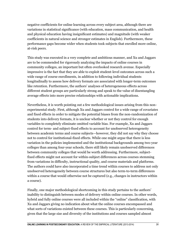negative coefficients for online learning across every subject area, although there are variations in statistical significance (with education, mass communication, and health and physical education having insignificant estimates) and magnitude (with weaker coefficients in natural science and stronger estimates in English). Furthermore, these performance gaps become wider when students took subjects that enrolled more online, at-risk peers.

This study was executed in a very complete and ambitious manner, and Xu and Jaggars are to be commended for rigorously analyzing the impacts of online courses in community colleges, an important but often overlooked research avenue. Especially impressive is the fact that they are able to exploit student-level outcomes across such a wide range of course enrollments, in addition to following individual students longitudinally to assess how delivery formats are associated with longer-term outcomes like retention. Furthermore, the authors' analyses of heterogeneous effects across different student groups are particularly strong and speak to the value of disentangling average effects into more precise relationships with actionable implications.

Nevertheless, it is worth pointing out a few methodological issues arising from this nonexperimental study. First, although Xu and Jaggars control for a wide range of covariates and fixed effects in order to mitigate the potential biases from the non-randomization of students into delivery formats, it is unclear whether or not they control for enough variables to completely eliminate omitted variable bias. For example, Xu and Jaggars control for term- and subject-fixed effects to account for unobserved heterogeneity between academic terms and course subjects—however, they did not say why they choose not to control for institutional-fixed effects. While one might argue that there is less variation in the policies implemented and the institutional backgrounds among two-year colleges than among four-year schools, there still likely remain unobserved differences between community colleges that would be worth addressing. Furthermore, subjectfixed effects might not account for within-subject differences across courses stemming from variations in difficulty, instructional quality, and course materials and platforms. The authors could have also incorporated a time trend within courses to address not only unobserved heterogeneity between course structures but also term-to-term differences within a course that would otherwise not be captured (e.g., changes in instructors within a course).

Finally, one major methodological shortcoming in this study pertains to the authors' inability to distinguish between modes of delivery within online courses. In other words, hybrid and fully online courses were all included within the "online" classification, with Xu and Jaggars giving no indication about what the online courses encompassed and what sorts of variations existed between these courses. This is particularly concerning, given that the large size and diversity of the institutions and courses sampled almost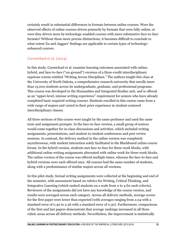certainly result in substantial differences in formats between online courses. Were the observed effects of online courses driven primarily by formats that were fully online, or were they driven more by technology-enabled courses with more substantive face-to-face formats? Without these more precise distinctions, it becomes difficult to conclude to what extent Xu and Jaggars' findings are applicable to certain types of technologyenhanced courses.

#### *Carmichael et al. (2014)*

In this study, Carmichael et al. examine learning outcomes associated with online, hybrid, and face-to-face ("on-ground") versions of a three-credit interdisciplinary capstone course entitled "Writing Across Disciplines." The authors taught this class at the University of North Dakota, a comprehensive research university that enrolls more than 15,000 students across its undergraduate, graduate, and professional programs. This course was developed in the Humanities and Integrated Studies unit, and is offered as an "upper-level, intense writing experience" requirement for seniors who have already completed basic required writing courses. Students enrolled in this course came from a wide range of majors and varied in their prior experience in student-centered interdisciplinary classes.

All three sections of this course were taught by the same professor and used the same texts and assignment prompts. In the face-to-face version, a small group of seniors would come together for in-class discussions and activities, which included writing assignments, presentations, and student-to-student conferences and peer review sessions. In contrast, the delivery method in the online version was completely asynchronous, with student interaction solely facilitated in the Blackboard online course forum. In the hybrid version, students met face-to-face for three-week blocks, with additional online writing assignments alternated with online work for three-week blocks. The online version of the course was offered multiple times, whereas the face-to-face and hybrid versions were each offered once. All courses had the same number of students, along with a predominance of similar majors across all versions.

In this pilot study, formal writing assignments were collected at the beginning and end of the semester, with assessment based on rubrics for Writing, Critical Thinking, and Integrative Learning (which ranked students on a scale from 0 to 4 for each criteria). Reviewers of the assignments did not have any knowledge of the course version, and results were averaged across each category. Across all delivery methods, average scores for the first paper were lower than expected (with averages ranging from 2.04 with a standard error of 0.40 to 2.26 with a standard error of 0.30). Furthermore, comparisons of the first and last papers demonstrate that average rankings increased in all three rubric areas across all delivery methods. Nevertheless, the improvement is statistically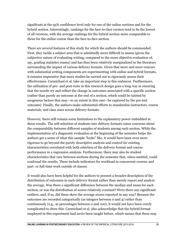significant at the 95% confidence level only for one of the online sections and for the hybrid section. Interestingly, rankings for the face-to-face version tend to be the lowest of all versions, with the average rankings for the hybrid section more comparable to those for the online course than the face-to-face section.

There are several features of this study for which the authors should be commended. First, they tackle a subject area that is admittedly more difficult to assess (given the subjective nature of evaluating writing, compared to the more objective evaluation of, say, grading statistics exams) and has thus been relatively marginalized in the literature surrounding the impact of various delivery formats. Given that more and more courses with substantial writing components are experimenting with online and hybrid formats, it remains imperative that more studies be carried out to rigorously assess their effectiveness. Carmichael et al. take an important step in this endeavor. Furthermore, the utilization of pre- and post-tests in this research design goes a long way in ensuring that the results try and reflect the change in outcomes associated with a specific section (rather than purely an outcome at the end of a section, which could be tainted by exogenous factors that may—to an extent in this case—be captured by the pre-test outcome). Finally, the authors make substantial efforts to standardize instructors, course materials, and class sizes across delivery formats.

However, there still remain some limitations to the explanatory power embedded in these results. The self-selection of students into delivery formats raises concerns about the comparability between different samples of students among each section. While the implementation of a diagnostic evaluation at the beginning of the semester helps the authors get a sense of what this sample "looks" like, it would have been even more rigorous to go beyond the purely descriptive analysis and control for existing characteristics correlated with both selection of the delivery format and course performance in a regression analysis. Furthermore, there may also be student characteristics that vary between sections during the semester that, when omitted, could confound the results. These include indicators for workload in concurrent courses and part- or full-time work outside of classes.

It would also have been helpful for the authors to present a broader description of the distribution of outcomes in each delivery format rather than merely report and analyze the average. Was there a significant difference between the median and mean for each section, or was the distribution of scores relatively constant? Were there any significant outliers, and, if so, did these skew the average scores reported in any way? Because the outcomes are recorded categorically (as integers between 0 and 4) rather than continuously (e.g., as percentages between 0 and 100), it would not have been overly complicated to show this. Carmichael et al. also acknowledge that the hybrid format employed in this experiment had never been taught before, which means that there may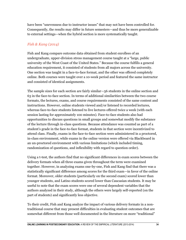have been "unevenness due to instructor issues" that may not have been controlled for. Consequently, the results may differ in future semesters—and thus be more generalizable to external settings—when the hybrid section is more systematically taught.

#### *Fish & Kang (2014)*

Fish and Kang compare outcome data obtained from student enrollees of an undergraduate, upper-division stress management course taught at a "large, public university of the West Coast of the United States." Because the course fulfills a general education requirement, it consisted of students from all majors across the university. One section was taught in a face-to-face format, and the other was offered completely online. Both courses were taught over a 10-week period and featured the same instructor and consisted of identical assignments.

The sample sizes for each section are fairly similar—56 students in the online section and 63 in the face-to-face section. In terms of additional similarities between the two course formats, the lectures, exams, and course requirements consisted of the same content and instructions. However, online students viewed and/or listened to recorded lectures, whereas face-to-face students listened to live lectures offered twice a week (with each session lasting for approximately 100 minutes). Face-to-face students also had opportunities to discuss questions in small groups and somewhat modify the substance of the lecture through in-class questions. Because attendance was counted as part of a student's grade in the face-to-face format, students in that section were incentivized to attend class. Finally, exams in the face-to-face section were administered in a proctored, in-class environment, while exams in the online version were offered via Blackboard in an un-proctored environment with various limitations (which included timing, randomization of questions, and inflexibility with regard to question order).

Using a t-test, the authors find that no significant differences in exam scores between the delivery formats when all three exams given throughout the term were examined together. However, in analyzing exams one-by-one, Fish and Kang find that there was a statistically significant difference among scores for the third exam—in favor of the online format. Moreover, older students (particularly on the second exam) scored lower than younger students, and Latino students scored lower than Caucasian students. It may be useful to note that the exam scores were one of several dependent variables that the authors analyzed in their study, although the others were largely self-reported (on the part of students) and significantly less objective.

To their credit, Fish and Kang analyze the impact of various delivery formats in a nontraditional course that may present difficulties in evaluating student outcomes that are somewhat different from those well documented in the literature on more "traditional"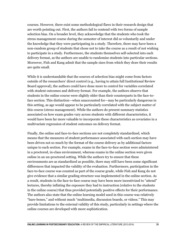courses. However, there exist some methodological flaws in their research design that are worth pointing out. First, the authors fail to contend with two forms of sample selection bias. On a broader level, they acknowledge that the students who took the stress management course during the semester of interest did so voluntarily and under the knowledge that they were participating in a study. Therefore, there may have been a non-random group of students that chose not to take the course as a result of not wishing to participate in a study. Furthermore, the students themselves self-selected into each delivery format, as the authors are unable to randomize students into particular sections. Moreover, Fish and Kang admit that the sample sizes from which they draw their results are quite small.

While it is understandable that the sources of selection bias might come from factors outside of the researchers' direct control (e.g., having to attain full Institutional Review Board approval), the authors could have done more to control for variables correlated with student outcomes and delivery format. For example, the authors observe that students in the online course were slightly older than their counterparts in the face-toface section. This distinction—when unaccounted for—may be particularly dangerous in this setting, as age would appear to be particularly correlated with the subject matter of this course (stress management). While the authors do present summary statistics associated on how exam grades vary across students with different characteristics, it would have been far more valuable to incorporate these characteristics as covariates in a multivariate regression of student outcomes on delivery format.

Finally, the online and face-to-face sections are not completely standardized, which means that the measures of student performance associated with each section may have been driven not so much by the format of the course delivery as by additional factors unique to each section. For example, exams in the face-to-face section were administered in a proctored, in-class environment, whereas exams in the online section were given online in an un-proctored setting. While the authors try to ensure that these environments are as standardized as possible, there may still have been some significant differences that impacted the validity of the evaluation. Furthermore, participation in the face-to-face course was counted as part of the course grade, while Fish and Kang do not give evidence that a similar grading structure was implemented in the online section. As a result, students in the face-to-face course may have been more incentivized to "attend" lectures, thereby inflating the exposure they had to instruction (relative to the students in the online course) that thus provided potentially positive effects for their performance. The authors also state that the online learning model used in this course was relatively "bare-bones," and without much "multimedia, discussion boards, or videos." This may provide limitations to the external validity of this study, particularly in settings where the online courses are developed with more sophistication.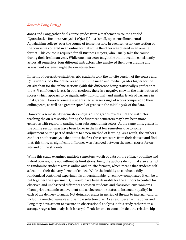#### *Jones & Long (2013)*

Jones and Long gather final course grades from a mathematics course entitled "Quantitative Business Analysis I (QBA I)" at a "small, open-enrollment rural Appalachian college" over the course of ten semesters. In each semester, one section of the course was offered in an online format while the other was offered in an on-site format. This course is required for all Business majors, who usually take the course during their freshman year. While one instructor taught the online section consistently across all semesters, four different instructors who employed their own grading and assessment systems taught the on-site section.

In terms of descriptive statistics, 267 students took the on-site version of the course and 178 students took the online version, with the mean and median grades higher for the on-site than for the online sections (with this difference being statistically significant at the 95% confidence level). In both sections, there is a negative skew in the distribution of scores (which appears to be significantly non-normal) and similar levels of variance in final grades. However, on-site students had a larger range of scores compared to their online peers, as well as a greater spread of grades in the middle 50% of the data.

However, a semester-by-semester analysis of the grades reveals that the instructor teaching the on-site section during the first three semesters may have been more generous with regard to grading than subsequent instructors. At the same time, grades in the online section may have been lower in the first few semesters due to some adjustment on the part of students to a new method of learning. As a result, the authors conduct another analysis that omits the first three semesters from their dataset and find that, this time, no significant difference was observed between the mean scores for onsite and online students.

While this study examines multiple semesters' worth of data on the efficacy of online and hybrid courses, it is not without its limitations. First, the authors do not make an attempt to randomize students across online and on-site formats, which means that students selfselect into their delivery format of choice. While the inability to conduct a fully randomized controlled experiment is understandable (given how complicated it can be to put together the experiment), it would have been desirable for the authors to control for observed and unobserved differences between students and classroom environments (from prior academic achievement and socioeconomic status to instructor quality) in each of the delivery formats. Not doing so results in myriad of threats to internal validity, including omitted variable and sample selection bias. As a result, even while Jones and Long may have set out to execute an observational analysis in this study rather than a stronger regression analysis, it is very difficult for one to conclude that the relationship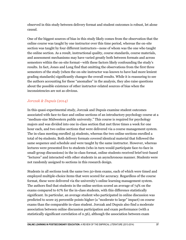observed in this study between delivery format and student outcomes is robust, let alone causal.

One of the biggest sources of bias in this study likely comes from the observation that the online course was taught by one instructor over this time period, whereas the on-site section was taught by four different instructors—none of whom was the one who taught the online section. As a result, instructional quality, course standards, course materials, and assessment mechanisms may have varied greatly both between formats and across semesters within the on-site format—with these factors likely confounding the study's results. In fact, Jones and Long find that omitting the observations from the first three semesters of the study (when the on-site instructor was known to have had more lenient grading standards) significantly changes the overall results. While it is reassuring to see the authors accounting for these "anomalies" in the analysis, they also raise questions about the possible existence of other instructor-related sources of bias when the inconsistencies are not as obvious.

#### *Jorczak & Dupuis (2014)*

In this quasi-experimental study, Jorczak and Dupuis examine student outcomes associated with face-to-face and online sections of an introductory psychology course at a "medium-size Midwestern public university." This course is required for psychology majors and was divided into one in-class section that met three times a week for one hour each, and two online sections that were delivered via a course management system. The in-class meeting enrolled 35 students, whereas the two online sections enrolled a total of 69 students. Both delivery formats covered identical material that followed the same sequence and schedule and were taught by the same instructor. However, whereas lectures were presented live to students (who in turn would participate face-to-face in small-group discussions) in the in-class format, online students received brief text-based "lectures" and interacted with other students in an asynchronous manner. Students were not randomly assigned to sections in this research design.

Students in all sections took the same two 50-item exams, each of which were timed and employed multiple-choice items that were scored for accuracy. Regardless of the course format, these were delivered via the university's online learning management system. The authors find that students in the online section scored an average of 74% on the exams compared to 67% for the in-class students, with this difference statistically significant. In particular, an average student who participated in online discussion was predicted to score 25 percentile points higher (a "moderate to large" impact) on course exams than the comparable in-class student. Jorczak and Dupuis also find a moderate association between online discussion participation and exam performance (with a statistically significant correlation of 0.36), although the association between exam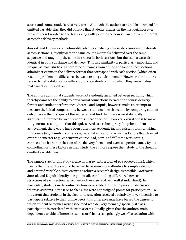scores and course grade is relatively weak. Although the authors are unable to control for omitted variable bias, they did observe that students' grades on the first quiz score—a proxy of their knowledge and test-taking skills prior to the course—are not very different across the delivery methods.

Jorczak and Dupuis do an admirable job of normalizing course structures and materials across sections. Not only were the same course materials delivered over the same sequence and taught by the same instructor in both sections, but the exams were also identical in both substance and delivery. This last similarity is particularly important and unique, as most studies that examine outcomes from online and face-to-face sections administer exams in the delivery format that correspond with each section (which often result in problematic differences between testing environments). However, the author's research methodology also suffers from a few shortcomings, which they nevertheless make an effort to spell out.

The authors admit that students were not randomly assigned between sections, which thereby damages the ability to draw causal connections between the course delivery format and student performance. Jorczak and Dupuis, however, make an attempt to measure the initial comparability between students in each section by comparing student outcomes on the first quiz of the semester and find that there is no statistically significant difference between students in each section. However, even if one is to make the generous assumption that this quiz served as a robust proxy for prior student achievement, there could have been other non-academic factors existent prior to taking this course (e.g., family income, race, parental education), as well as factors that changed over the semester (e.g., concurrent course load, part- and full-time work status) connected to both the selection of the delivery format and eventual performance. By not controlling for these factors in their study, the authors expose their study to the threat of omitted variable bias.

The sample size for this study is also not large (with a total of 104 observations), which means that the authors would have had to be even more attentive to sample selection and omitted variable bias to ensure as robust a research design as possible. Moreover, Jorczak and Dupuis identify one potentially confounding difference between the structures of each section (which were otherwise relatively well standardized). In particular, students in the online section were graded for participation in discussion, whereas students in the face-to-face class were not assigned points for participation. To the extent that students in the face-to-face section received a relatively lower incentive to participate relative to their online peers, this difference may have biased the degree to which student outcomes were associated with delivery format (especially if class participation is correlated with exam scores). Finally, given that the authors' main dependent variable of interest (exam score) had a "surprisingly weak" association with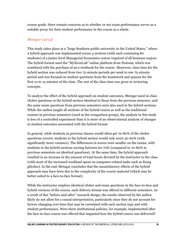course grade, there remain concerns as to whether or not exam performance serves as a suitable proxy for their student performance in the course as a whole.

#### *Metzgar (2014)*

This study takes place at a "large Southern public university in the United States," where a hybrid approach was implemented across 3 sections (with each containing 80 students) of a junior-level Managerial Economics course required of all business majors. The hybrid format used the "MyEconLab" online platform from Pearson, which was combined with the purchase of an e-textbook for the course. Moreover, class time for the hybrid section was reduced from two 75-minute periods per week to one 75-minute period and was focused on student questions from the homework and quizzes for the first 10 to 15 minutes of the class. The rest of the class time was given to reviewing concepts.

To analyze the effect of the hybrid approach on student outcomes, Metzgar used in-class clicker questions in the hybrid section identical to those from the previous semester, and the same exam questions from previous semesters were also used in the hybrid sections. While the author taught all sections of the hybrid course as well as the traditional courses in previous semesters (used as the comparison group), the analysis in this study is less of a controlled experiment than it is more of an observational analysis of changes in student outcomes associated with the hybrid format.

In general, while students in previous classes would often get 70-80% of the clicker questions correct, students in the hybrid section would only score 30-60% (with significantly more variance). The differences in scores were smaller on the exams, with students in the hybrid sections scoring between 60-70% (compared to 70-80% in previous semesters on identical questions). At the same time, the hybrid approach resulted in an increase in the amount of total hours devoted by the instructor to the class (with most of the increased workload spent on computer-related tasks such as fixing glitches). In the end, Metzgar concludes that the unsatisfactory effects of the hybrid approach may have been due to the complexity of the course material (which may be better suited to a face-to-face format).

While the instructor employs identical clicker and exam questions in the face-to-face and hybrid versions of the course, each delivery format was offered in different semesters. As a result of this "before-and-after" research design, the results observed by the author likely do not allow for a causal interpretation, particularly since they do not account for factors changing over time that may be correlated with each section type and with student performance. Were there institutional policies, for example, implemented after the face-to-face course was offered that impacted how the hybrid course was delivered?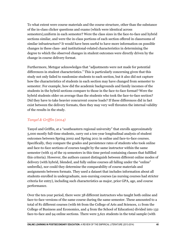To what extent were course materials and the course structure, other than the substance of the in-class clicker questions and exams (which were identical across semesters),uniform in each semester? Were the class sizes in the face-to-face and hybrid sections similar, and were the in-class portions of each section offered in classrooms of similar infrastructure? It would have been useful to have more information on possible changes in these class- and institutional-related characteristics in determining the degree to which the observed changes in student outcomes were directly driven by the change in course delivery format.

Furthermore, Metzgar acknowledges that "adjustments were not made for potential differences in student characteristics." This is particularly concerning given that this study not only failed to randomize students to each section, but it also did not capture how the characteristics of students in each section may have changed from semester to semester. For example, how did the academic backgrounds and family incomes of the students in the hybrid sections compare to those in the face-to-face format? Were the hybrid students older on average than the students who took the face-to-face section? Did they have to take heavier concurrent course loads? If these differences did in fact exist between the delivery formats, then they may very well threaten the internal validity of the results in the study.

#### *Tanyel & Griffin (2014)*

Tanyel and Griffin, at a "southeastern regional university" that enrolls approximately 5,000 mostly full-time students, carry out a ten-year longitudinal analysis of student outcomes between Spring 2002 and Spring 2011 in online and face-to-face courses. Specifically, they compare the grades and persistence rates of students who took online and face-to-face sections of courses taught by the same instructor within the same semester (with 15 of the 19 semesters in this time period containing classes that fulfilled this criteria). However, the authors cannot distinguish between different online modes of delivery (with hybrid, blended, and fully online courses all falling under the "online" umbrella), nor could they determine the comparability of course materials and assignments between formats. They used a dataset that includes information about all students enrolled in undergraduate, non-nursing courses (as nursing courses had stricter criteria for entry), including such characteristics as major, prior GPA, age, and course performance.

Over the ten-year period, there were 38 different instructors who taught both online and face-to-face versions of the same course during the same semester. These amounted to a total of 81 different courses (with 66 from the College of Arts and Sciences, 11 from the College of Business and Economics, and 4 from the School of Education) divided into 132 face-to-face and 94 online sections. There were 5,621 students in the total sample (with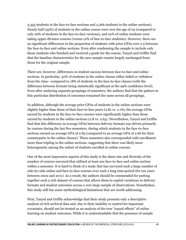3,355 students in the face-to-face sections and 2,266 students in the online sections). Nearly half (49%) of students in the online course were over the age of 25 (compared to only 26% of students in the face-to-face versions), and 20% of online students were taking upper-division courses (versus 12% of face-to-face students). However, there are no significant differences in the proportion of students with prior GPAs over 2.5 between the face-to-face and online sections. Even after condensing the sample to include only those students who finished and received a grade for the course, Tanyel and Griffin find that the baseline characteristics for the new sample remain largely unchanged from those for the original sample.

There are, however, differences in student success between face-to-face and online sections. In particular, 30% of students in the online classes either failed or withdrew from the class—compared to 18% of students in the face-to-face classes (with the difference between formats being statistically significant at the 99% confidence level). Even after analyzing separate groupings of semesters, the authors find that the pattern in this particular distribution of outcomes remained the same across all groupings.

In addition, although the average prior GPAs of students in the online sections were slightly higher than those of their face-to-face peers (2.81 vs. 2.76), the average GPAs earned by students in the face-to-face courses were significantly higher than those earned by students in the online sections (2.8 vs. 2.65). Nevertheless, Tanyel and Griffin find that this difference in average GPAs between delivery formats was driven primarily by courses during the last five semesters, during which students in the face-to-face sections earned an average GPA of 2.83 (compared to an average GPA of 2.66 for their counterparts in the online classes). These semesters also corresponded with enrollment more than tripling in the online sections, suggesting that there was likely more heterogeneity among the subset of students enrolled in online courses.

One of the most impressive aspects of this study is the sheer size and diversity of the number of courses surveyed that utilized at least one face-to-face and online section within a semester. It is hard to think of a study that has surveyed such a large number of side-by-side online and face-to-face courses over such a long time period (for ten years between 2002 and 2011). As a result, the authors should be commended for putting together such a rich dataset of courses that allows them to exploit variations in delivery formats and student outcomes across a very large sample of observations. Nonetheless, this study still has some methodological limitations that are worth addressing.

First, Tanyel and Griffin acknowledge that their study presents only a descriptive analysis of rich archival data and, due to their inability to control for important covariates, should not be treated as an analysis of the true "causal effects" of online learning on student outcomes. While it is understandable that the presence of sample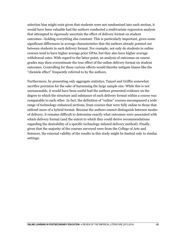selection bias might exist given that students were not randomized into each section, it would have been valuable had the authors conducted a multivariate regression analysis that attempted to rigorously ascertain the effect of delivery format on student outcomes—holding everything else constant. This is particularly important, given some significant differences in average characteristics that the authors already pointed out between students in each delivery format. For example, not only do students in online courses tend to have higher average prior GPAs, but they also have higher average withdrawal rates. With regard to the latter point, an analysis of outcomes on course grades may then overestimate the true effect of the online delivery format on student outcomes. Controlling for these various effects would thereby mitigate biases like the "clientele effect" frequently referred to by the authors.

Furthermore, by presenting only aggregate statistics, Tanyel and Griffin somewhat sacrifice precision for the sake of harnessing the large sample size. While this is not unreasonable, it would have been useful had the authors presented evidence on the degree to which the structure and substance of each delivery format within a course was comparable to each other. In fact, the definition of "online" courses encompassed a wide range of technology-enhanced sections, from courses that were fully online to those that utilized more of a hybrid format. Because the authors cannot distinguish between modes of delivery, it remains difficult to determine exactly what outcomes were associated with which delivery format (and the extent to which they could derive recommendations regarding the desirability of a specific technology-infused delivery method). Finally, given that the majority of the courses surveyed were from the College of Arts and Sciences, the external validity of the results in this study might be limited only to similar settings.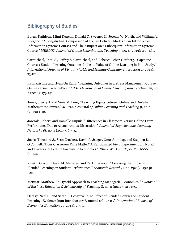# <span id="page-43-0"></span>**Bibliography of Studies**

Burns, Kathleen, Mimi Duncan, Donald C. Sweeney II, Jeremy W. North, and William A. Ellegood. "A Longitudinal Comparison of Course Delivery Modes of an Introductory Information Systems Courses and Their Impact on a Subsequent Information Systems Course." *MERLOT Journal of Online Learning and Teaching* 9, no. 4 (2013): 453-467.

Carmichael, Tami S., Jeffrey S. Carmichael, and Rebecca Leber-Gottberg. "Capstone Courses: Student Learning Outcomes Indicate Value of Online Learning in Pilot Study." *International Journal of Virtual Worlds and Human-Computer Interaction* 2 (2014): 73-82.

Fish, Kristine and Hyun Gu Kang. "Learning Outcomes in a Stress Management Course: Online versus Face-to-Face." *MERLOT Journal of Online Learning and Teaching* 10, no. 2 (2014): 179-191.

Jones, Sherry J. and Vena M. Long. "Learning Equity between Online and On-Site Mathematics Courses." *MERLOT Journal of Online Learning and Teaching* 9, no. 1  $(2013): 1-12.$ 

Jorczak, Robert, and Danielle Dupuis. "Differences in Classroom Versus Online Exam Performance Due to Asynchronous Discussion." *Journal of Asynchronous Learning Networks* 18, no. 2 (2014): 67-75.

Joyce, Theodore J., Sean Crockett, David A. Jaeger, Onur Altindag, and Stephen D. O'Connell. "Does Classroom Time Matter? A Randomized Field Experiment of Hybrid and Traditional Lecture Formats in Economics." *NBER Working Paper No. 20006*  $(2014).$ 

Kwak, Do Won, Flavio M. Menezes, and Carl Sherwood. "Assessing the Impact of Blended Learning on Student Performance." *Economic Record* 91, no. 292 (2015): 91- 106.

Metzgar, Matthew. "A Hybrid Approach to Teaching Managerial Economics." *e-Journal of Business Education & Scholarship of Teaching* 8, no. 2 (2014): 123-130.

Olitsky, Neal H. and Sarah B. Cosgrove. "The Effect of Blended Courses on Student Learning: Evidence from Introductory Economics Courses." *International Review of Economics Education* 15 (2014): 17-31.